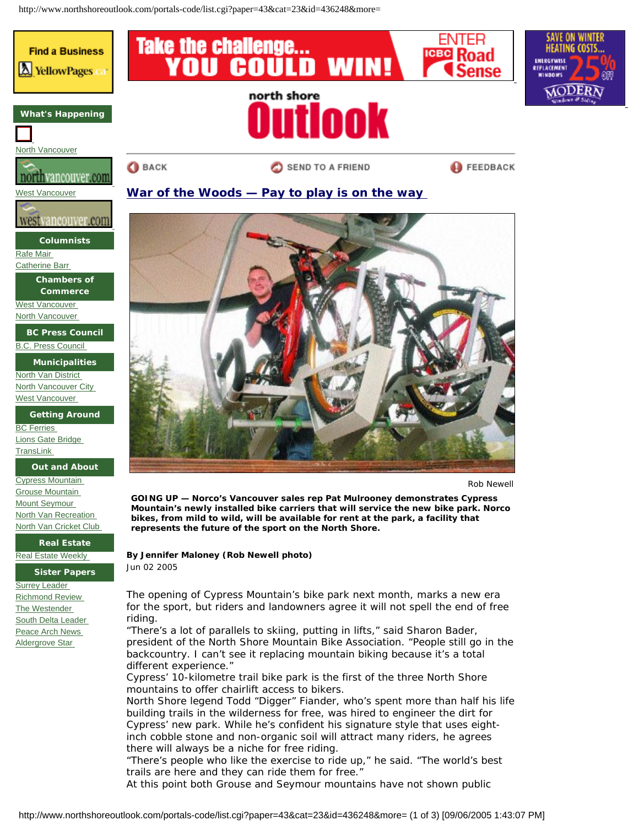http://www.northshoreoutlook.com/portals-code/list.cgi?paper=43&cat=23&id=436248&more=



**Real Estate** [Real Estate Weekly](http://northshore-rew.com/) 

**Sister Papers**

**Surrey Leader** [Richmond Review](http://www.richmondreview.com/) [The Westender](http://www.westender.com/)  [South Delta Leader](http://www.southdeltaleader.com/)  [Peace Arch News](http://www.peacearchnews.com/)  [Aldergrove Star](http://newsroom@aldergrovestar.com/) 

The opening of Cypress Mountain's bike park next month, marks a new era for the sport, but riders and landowners agree it will not spell the end of free riding.

**By Jennifer Maloney (Rob Newell photo)**

*Jun 02 2005*

"There's a lot of parallels to skiing, putting in lifts," said Sharon Bader, president of the North Shore Mountain Bike Association. "People still go in the backcountry. I can't see it replacing mountain biking because it's a total different experience."

Cypress' 10-kilometre trail bike park is the first of the three North Shore mountains to offer chairlift access to bikers.

North Shore legend Todd "Digger" Fiander, who's spent more than half his life building trails in the wilderness for free, was hired to engineer the dirt for Cypress' new park. While he's confident his signature style that uses eightinch cobble stone and non-organic soil will attract many riders, he agrees there will always be a niche for free riding.

"There's people who like the exercise to ride up," he said. "The world's best trails are here and they can ride them for free."

At this point both Grouse and Seymour mountains have not shown public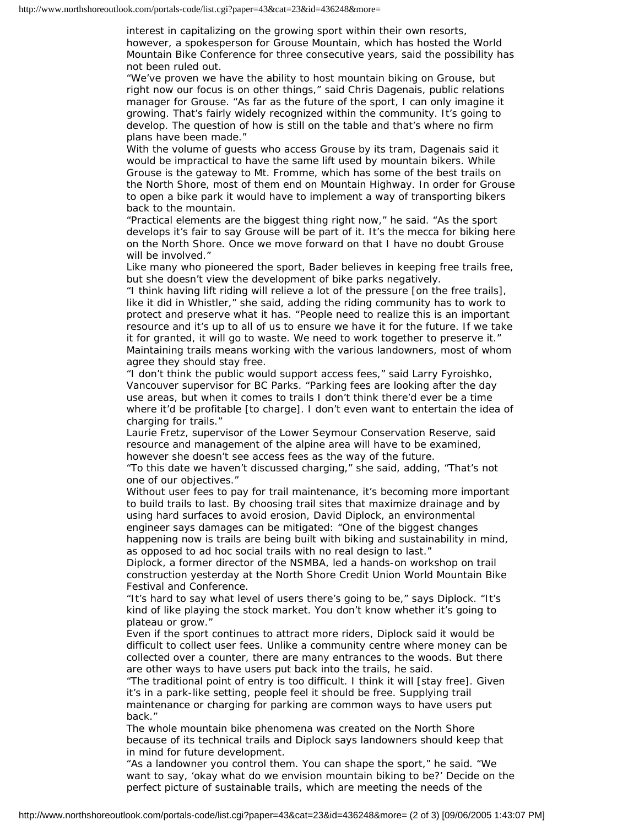interest in capitalizing on the growing sport within their own resorts, however, a spokesperson for Grouse Mountain, which has hosted the World Mountain Bike Conference for three consecutive years, said the possibility has not been ruled out.

"We've proven we have the ability to host mountain biking on Grouse, but right now our focus is on other things," said Chris Dagenais, public relations manager for Grouse. "As far as the future of the sport, I can only imagine it growing. That's fairly widely recognized within the community. It's going to develop. The question of how is still on the table and that's where no firm plans have been made."

With the volume of guests who access Grouse by its tram, Dagenais said it would be impractical to have the same lift used by mountain bikers. While Grouse is the gateway to Mt. Fromme, which has some of the best trails on the North Shore, most of them end on Mountain Highway. In order for Grouse to open a bike park it would have to implement a way of transporting bikers back to the mountain.

"Practical elements are the biggest thing right now," he said. "As the sport develops it's fair to say Grouse will be part of it. It's the mecca for biking here on the North Shore. Once we move forward on that I have no doubt Grouse will be involved."

Like many who pioneered the sport, Bader believes in keeping free trails free, but she doesn't view the development of bike parks negatively.

"I think having lift riding will relieve a lot of the pressure [on the free trails], like it did in Whistler," she said, adding the riding community has to work to protect and preserve what it has. "People need to realize this is an important resource and it's up to all of us to ensure we have it for the future. If we take it for granted, it will go to waste. We need to work together to preserve it." Maintaining trails means working with the various landowners, most of whom agree they should stay free.

"I don't think the public would support access fees," said Larry Fyroishko, Vancouver supervisor for BC Parks. "Parking fees are looking after the day use areas, but when it comes to trails I don't think there'd ever be a time where it'd be profitable [to charge]. I don't even want to entertain the idea of charging for trails."

Laurie Fretz, supervisor of the Lower Seymour Conservation Reserve, said resource and management of the alpine area will have to be examined, however she doesn't see access fees as the way of the future.

"To this date we haven't discussed charging," she said, adding, "That's not one of our objectives."

Without user fees to pay for trail maintenance, it's becoming more important to build trails to last. By choosing trail sites that maximize drainage and by using hard surfaces to avoid erosion, David Diplock, an environmental engineer says damages can be mitigated: "One of the biggest changes happening now is trails are being built with biking and sustainability in mind, as opposed to ad hoc social trails with no real design to last."

Diplock, a former director of the NSMBA, led a hands-on workshop on trail construction yesterday at the North Shore Credit Union World Mountain Bike Festival and Conference.

"It's hard to say what level of users there's going to be," says Diplock. "It's kind of like playing the stock market. You don't know whether it's going to plateau or grow."

Even if the sport continues to attract more riders, Diplock said it would be difficult to collect user fees. Unlike a community centre where money can be collected over a counter, there are many entrances to the woods. But there are other ways to have users put back into the trails, he said.

"The traditional point of entry is too difficult. I think it will [stay free]. Given it's in a park-like setting, people feel it should be free. Supplying trail maintenance or charging for parking are common ways to have users put back."

The whole mountain bike phenomena was created on the North Shore because of its technical trails and Diplock says landowners should keep that in mind for future development.

"As a landowner you control them. You can shape the sport," he said. "We want to say, 'okay what do we envision mountain biking to be?' Decide on the perfect picture of sustainable trails, which are meeting the needs of the